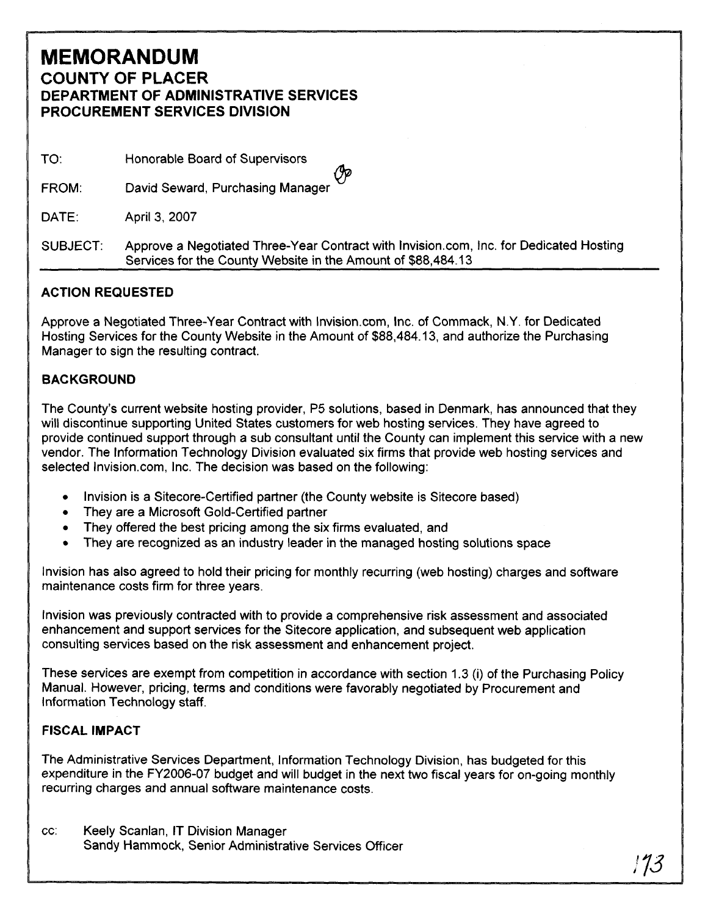## **MEMORANDUM COUNTY OF PLACER DEPARTMENT OF ADMINISTRATIVE SERVICES PROCUREMENT SERVICES DIVISION**

TO: Honorable Board of Supervisors

David Seward, Purchasing Manager FROM:

DATE: April 3, 2007

SUBJECT: Approve a Negotiated Three-Year Contract with Invision.com, Inc. for Dedicated Hosting Services for the County Website in the Amount of \$88,484.13

## **ACTION REQUESTED**

Approve a Negotiated Three-Year Contract with Invision.com, Inc. of Commack, N.Y. for Dedicated Hosting Services for the County Website in the Amount of \$88,484.1 3, and authorize the Purchasing Manager to sign the resulting contract.

## **BACKGROUND**

The County's current website hosting provider, P5 solutions, based in Denmark, has announced that they will discontinue supporting United States customers for web hosting services. They have agreed to provide continued support through a sub consultant until the County can implement this service with a new vendor. The lnformation Technology Division evaluated six firms that provide web hosting services and selected Invision.com, Inc. The decision was based on the following:

- lnvision is a Sitecore-Certified partner (the County website is Sitecore based)
- They are a Microsoft Gold-Certified partner
- They offered the best pricing among the six firms evaluated, and
- They are recognized as an industry leader in the managed hosting solutions space

lnvision has also agreed to hold their pricing for monthly recurring (web hosting) charges and software maintenance costs firm for three years.

lnvision was previously contracted with to provide a comprehensive risk assessment and associated enhancement and support services for the Sitecore application, and subsequent web application consulting services based on the risk assessment and enhancement project.

These services are exempt from competition in accordance with section 1.3 (i) of the Purchasing Policy Manual. However, pricing, terms and conditions were favorably negotiated by Procurement and lnformation Technology staff.

## **FISCAL IMPACT**

The Administrative Services Department, lnformation Technology Division, has budgeted for this expenditure in the FY2006-07 budget and will budget in the next two fiscal years for on-going monthly recurring charges and annual software maintenance costs.

cc: Keely Scanlan, IT Division Manager Sandy Hammock, Senior Administrative Services Officer